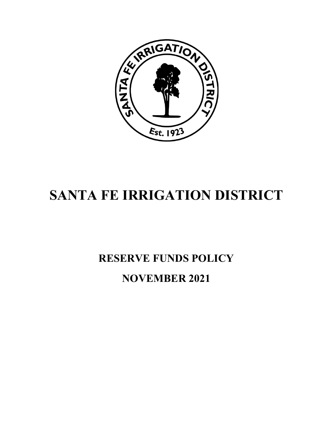

# **SANTA FE IRRIGATION DISTRICT**

# **RESERVE FUNDS POLICY NOVEMBER 2021**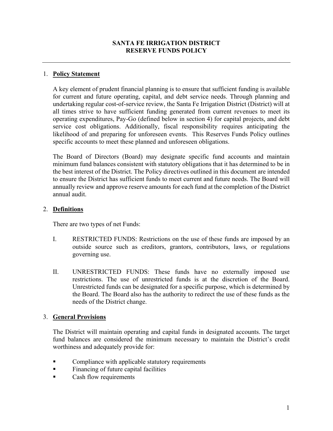### **SANTA FE IRRIGATION DISTRICT RESERVE FUNDS POLICY**

#### 1. **Policy Statement**

A key element of prudent financial planning is to ensure that sufficient funding is available for current and future operating, capital, and debt service needs. Through planning and undertaking regular cost-of-service review, the Santa Fe Irrigation District (District) will at all times strive to have sufficient funding generated from current revenues to meet its operating expenditures, Pay-Go (defined below in section 4) for capital projects, and debt service cost obligations. Additionally, fiscal responsibility requires anticipating the likelihood of and preparing for unforeseen events. This Reserves Funds Policy outlines specific accounts to meet these planned and unforeseen obligations.

The Board of Directors (Board) may designate specific fund accounts and maintain minimum fund balances consistent with statutory obligations that it has determined to be in the best interest of the District. The Policy directives outlined in this document are intended to ensure the District has sufficient funds to meet current and future needs. The Board will annually review and approve reserve amounts for each fund at the completion of the District annual audit.

#### 2. **Definitions**

There are two types of net Funds:

- I. RESTRICTED FUNDS: Restrictions on the use of these funds are imposed by an outside source such as creditors, grantors, contributors, laws, or regulations governing use.
- II. UNRESTRICTED FUNDS: These funds have no externally imposed use restrictions. The use of unrestricted funds is at the discretion of the Board. Unrestricted funds can be designated for a specific purpose, which is determined by the Board. The Board also has the authority to redirect the use of these funds as the needs of the District change.

### 3. **General Provisions**

The District will maintain operating and capital funds in designated accounts. The target fund balances are considered the minimum necessary to maintain the District's credit worthiness and adequately provide for:

- **Example 5 Compliance with applicable statutory requirements**
- Financing of future capital facilities
- Cash flow requirements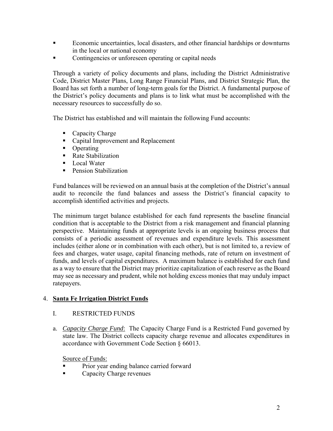- Economic uncertainties, local disasters, and other financial hardships or downturns in the local or national economy
- Contingencies or unforeseen operating or capital needs

Through a variety of policy documents and plans, including the District Administrative Code, District Master Plans, Long Range Financial Plans, and District Strategic Plan, the Board has set forth a number of long-term goals for the District. A fundamental purpose of the District's policy documents and plans is to link what must be accomplished with the necessary resources to successfully do so.

The District has established and will maintain the following Fund accounts:

- Capacity Charge
- Capital Improvement and Replacement
- Operating
- Rate Stabilization
- Local Water
- **Pension Stabilization**

Fund balances will be reviewed on an annual basis at the completion of the District's annual audit to reconcile the fund balances and assess the District's financial capacity to accomplish identified activities and projects.

The minimum target balance established for each fund represents the baseline financial condition that is acceptable to the District from a risk management and financial planning perspective. Maintaining funds at appropriate levels is an ongoing business process that consists of a periodic assessment of revenues and expenditure levels. This assessment includes (either alone or in combination with each other), but is not limited to, a review of fees and charges, water usage, capital financing methods, rate of return on investment of funds, and levels of capital expenditures. A maximum balance is established for each fund as a way to ensure that the District may prioritize capitalization of each reserve as the Board may see as necessary and prudent, while not holding excess monies that may unduly impact ratepayers.

### 4. **Santa Fe Irrigation District Funds**

### I. RESTRICTED FUNDS

a. *Capacity Charge Fund*: The Capacity Charge Fund is a Restricted Fund governed by state law. The District collects capacity charge revenue and allocates expenditures in accordance with Government Code Section § 66013.

Source of Funds:

- Prior year ending balance carried forward
- Capacity Charge revenues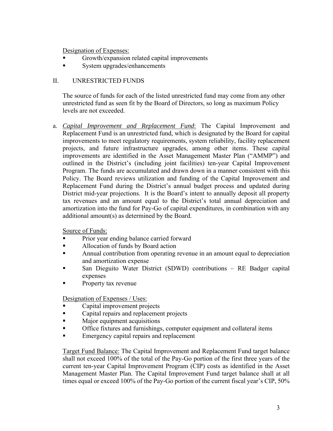Designation of Expenses:

- Growth/expansion related capital improvements
- System upgrades/enhancements

## II. UNRESTRICTED FUNDS

The source of funds for each of the listed unrestricted fund may come from any other unrestricted fund as seen fit by the Board of Directors, so long as maximum Policy levels are not exceeded.

a. *Capital Improvement and Replacement Fund*: The Capital Improvement and Replacement Fund is an unrestricted fund, which is designated by the Board for capital improvements to meet regulatory requirements, system reliability, facility replacement projects, and future infrastructure upgrades, among other items. These capital improvements are identified in the Asset Management Master Plan ("AMMP") and outlined in the District's (including joint facilities) ten-year Capital Improvement Program. The funds are accumulated and drawn down in a manner consistent with this Policy. The Board reviews utilization and funding of the Capital Improvement and Replacement Fund during the District's annual budget process and updated during District mid-year projections. It is the Board's intent to annually deposit all property tax revenues and an amount equal to the District's total annual depreciation and amortization into the fund for Pay-Go of capital expenditures, in combination with any additional amount(s) as determined by the Board.

Source of Funds:

- Prior year ending balance carried forward
- Allocation of funds by Board action
- Annual contribution from operating revenue in an amount equal to depreciation and amortization expense
- San Dieguito Water District (SDWD) contributions RE Badger capital expenses
- Property tax revenue

Designation of Expenses / Uses:

- Capital improvement projects
- **Exercise 2** Capital repairs and replacement projects
- **Major equipment acquisitions**
- **The Set of Set of the Set of the Set of the Set of the Set of the Set of the Set of the Set of the Set of the Set of the Set of the Set of the Set of the Set of the Set of the Set of the Set of the Set of the Set of the S**
- Emergency capital repairs and replacement

Target Fund Balance: The Capital Improvement and Replacement Fund target balance shall not exceed 100% of the total of the Pay-Go portion of the first three years of the current ten-year Capital Improvement Program (CIP) costs as identified in the Asset Management Master Plan. The Capital Improvement Fund target balance shall at all times equal or exceed 100% of the Pay-Go portion of the current fiscal year's CIP, 50%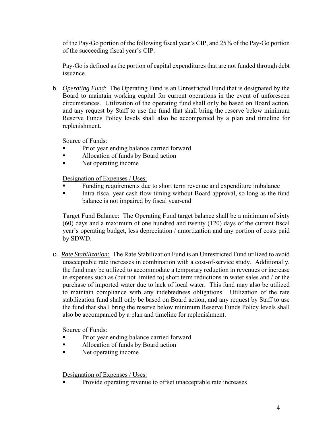of the Pay-Go portion of the following fiscal year's CIP, and 25% of the Pay-Go portion of the succeeding fiscal year's CIP.

Pay-Go is defined as the portion of capital expenditures that are not funded through debt issuance.

b. *Operating Fund*: The Operating Fund is an Unrestricted Fund that is designated by the Board to maintain working capital for current operations in the event of unforeseen circumstances. Utilization of the operating fund shall only be based on Board action, and any request by Staff to use the fund that shall bring the reserve below minimum Reserve Funds Policy levels shall also be accompanied by a plan and timeline for replenishment.

Source of Funds:

- Prior year ending balance carried forward
- Allocation of funds by Board action
- Net operating income

Designation of Expenses / Uses:

- Funding requirements due to short term revenue and expenditure imbalance
- Intra-fiscal year cash flow timing without Board approval, so long as the fund balance is not impaired by fiscal year-end

Target Fund Balance: The Operating Fund target balance shall be a minimum of sixty (60) days and a maximum of one hundred and twenty (120) days of the current fiscal year's operating budget, less depreciation / amortization and any portion of costs paid by SDWD.

c. *Rate Stabilization:* The Rate Stabilization Fund is an Unrestricted Fund utilized to avoid unacceptable rate increases in combination with a cost-of-service study. Additionally, the fund may be utilized to accommodate a temporary reduction in revenues or increase in expenses such as (but not limited to) short term reductions in water sales and / or the purchase of imported water due to lack of local water. This fund may also be utilized to maintain compliance with any indebtedness obligations. Utilization of the rate stabilization fund shall only be based on Board action, and any request by Staff to use the fund that shall bring the reserve below minimum Reserve Funds Policy levels shall also be accompanied by a plan and timeline for replenishment.

Source of Funds:

- **Prior year ending balance carried forward**
- Allocation of funds by Board action
- Net operating income

Designation of Expenses / Uses:

Provide operating revenue to offset unacceptable rate increases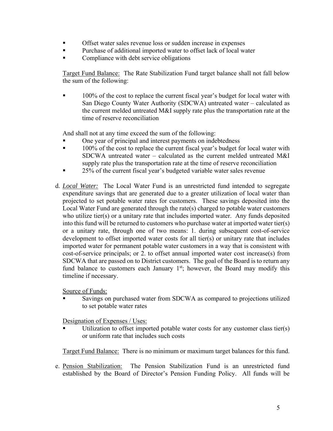- Offset water sales revenue loss or sudden increase in expenses
- **Purchase of additional imported water to offset lack of local water**
- Compliance with debt service obligations

Target Fund Balance: The Rate Stabilization Fund target balance shall not fall below the sum of the following:

 100% of the cost to replace the current fiscal year's budget for local water with San Diego County Water Authority (SDCWA) untreated water – calculated as the current melded untreated M&I supply rate plus the transportation rate at the time of reserve reconciliation

And shall not at any time exceed the sum of the following:

- One year of principal and interest payments on indebtedness
- **100% of the cost to replace the current fiscal year's budget for local water with** SDCWA untreated water – calculated as the current melded untreated M&I supply rate plus the transportation rate at the time of reserve reconciliation
- **25%** of the current fiscal year's budgeted variable water sales revenue
- d. *Local Water:* The Local Water Fund is an unrestricted fund intended to segregate expenditure savings that are generated due to a greater utilization of local water than projected to set potable water rates for customers. These savings deposited into the Local Water Fund are generated through the rate(s) charged to potable water customers who utilize tier(s) or a unitary rate that includes imported water. Any funds deposited into this fund will be returned to customers who purchase water at imported water tier(s) or a unitary rate, through one of two means: 1. during subsequent cost-of-service development to offset imported water costs for all tier(s) or unitary rate that includes imported water for permanent potable water customers in a way that is consistent with cost-of-service principals; or 2. to offset annual imported water cost increase(s) from SDCWA that are passed on to District customers. The goal of the Board is to return any fund balance to customers each January  $1<sup>st</sup>$ ; however, the Board may modify this timeline if necessary.

Source of Funds:

 Savings on purchased water from SDCWA as compared to projections utilized to set potable water rates

Designation of Expenses / Uses:

 Utilization to offset imported potable water costs for any customer class tier(s) or uniform rate that includes such costs

Target Fund Balance: There is no minimum or maximum target balances for this fund.

e. Pension Stabilization: The Pension Stabilization Fund is an unrestricted fund established by the Board of Director's Pension Funding Policy. All funds will be